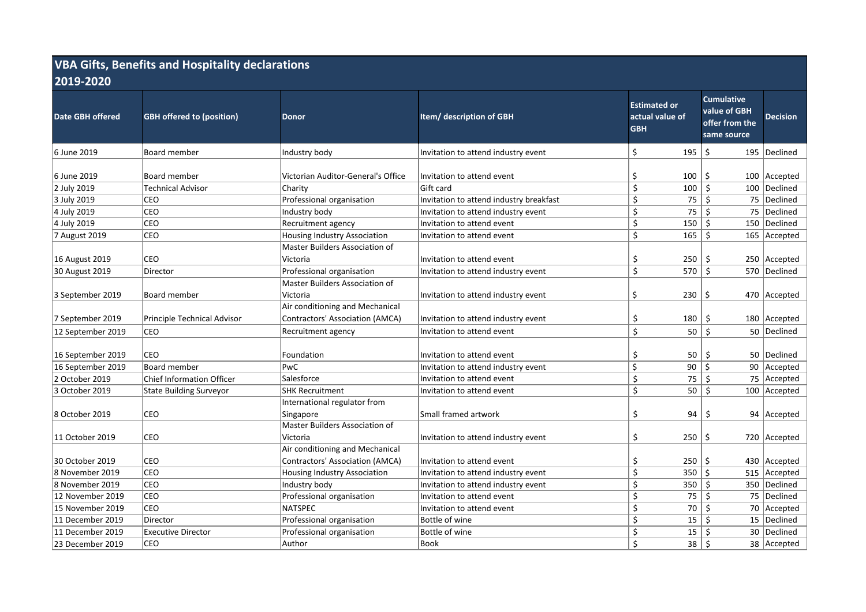| <b>VBA Gifts, Benefits and Hospitality declarations</b><br>2019-2020 |                                  |                                                                           |                                         |                                                      |                                                                    |                 |  |  |  |  |  |
|----------------------------------------------------------------------|----------------------------------|---------------------------------------------------------------------------|-----------------------------------------|------------------------------------------------------|--------------------------------------------------------------------|-----------------|--|--|--|--|--|
| Date GBH offered                                                     | <b>GBH offered to (position)</b> | <b>Donor</b>                                                              | Item/ description of GBH                | <b>Estimated or</b><br>actual value of<br><b>GBH</b> | <b>Cumulative</b><br>value of GBH<br>offer from the<br>same source | <b>Decision</b> |  |  |  |  |  |
| 6 June 2019                                                          | <b>Board member</b>              | Industry body                                                             | Invitation to attend industry event     | \$<br>195                                            | \$                                                                 | 195   Declined  |  |  |  |  |  |
| 6 June 2019                                                          | Board member                     | Victorian Auditor-General's Office                                        | Invitation to attend event              | \$<br>100                                            | \$                                                                 | 100 Accepted    |  |  |  |  |  |
| 2 July 2019                                                          | <b>Technical Advisor</b>         | Charity                                                                   | Gift card                               | \$<br>100                                            | Ś.                                                                 | 100 Declined    |  |  |  |  |  |
| 3 July 2019                                                          | CEO                              | Professional organisation                                                 | Invitation to attend industry breakfast | \$<br>75                                             | \$                                                                 | 75   Declined   |  |  |  |  |  |
| 4 July 2019                                                          | CEO                              | Industry body                                                             | Invitation to attend industry event     | \$<br>75                                             | \$                                                                 | 75  Declined    |  |  |  |  |  |
| 4 July 2019                                                          | CEO                              | Recruitment agency                                                        | Invitation to attend event              | \$<br>150                                            | \$                                                                 | 150   Declined  |  |  |  |  |  |
| 7 August 2019                                                        | CEO                              | Housing Industry Association                                              | Invitation to attend event              | \$<br>165                                            | Ś.                                                                 | 165 Accepted    |  |  |  |  |  |
| 16 August 2019                                                       | CEO                              | Master Builders Association of<br>Victoria                                | Invitation to attend event              | \$<br>250                                            | \$                                                                 | 250 Accepted    |  |  |  |  |  |
| 30 August 2019                                                       | Director                         | Professional organisation                                                 | Invitation to attend industry event     | \$<br>570                                            | $\zeta$                                                            | 570 Declined    |  |  |  |  |  |
| 3 September 2019                                                     | Board member                     | Master Builders Association of<br>Victoria                                | Invitation to attend industry event     | \$<br>230                                            | \$                                                                 | 470 Accepted    |  |  |  |  |  |
| 7 September 2019                                                     | Principle Technical Advisor      | Air conditioning and Mechanical<br><b>Contractors' Association (AMCA)</b> | Invitation to attend industry event     | \$<br>180                                            | \$                                                                 | 180 Accepted    |  |  |  |  |  |
| 12 September 2019                                                    | CEO                              | Recruitment agency                                                        | Invitation to attend event              | \$<br>50                                             | \$                                                                 | 50   Declined   |  |  |  |  |  |
| 16 September 2019                                                    | CEO                              | Foundation                                                                | Invitation to attend event              | \$<br>50                                             | \$                                                                 | 50   Declined   |  |  |  |  |  |
| 16 September 2019                                                    | Board member                     | PwC                                                                       | Invitation to attend industry event     | \$<br>90                                             | \$                                                                 | 90 Accepted     |  |  |  |  |  |
| 2 October 2019                                                       | <b>Chief Information Officer</b> | Salesforce                                                                | Invitation to attend event              | \$<br>75                                             | \$                                                                 | 75 Accepted     |  |  |  |  |  |
| 3 October 2019                                                       | <b>State Building Surveyor</b>   | <b>SHK Recruitment</b>                                                    | Invitation to attend event              | \$<br>50                                             | \$                                                                 | 100 Accepted    |  |  |  |  |  |
| 8 October 2019                                                       | CEO                              | International regulator from<br>Singapore                                 | Small framed artwork                    | \$<br>94                                             | \$                                                                 | 94 Accepted     |  |  |  |  |  |
| 11 October 2019                                                      | CEO                              | Master Builders Association of<br>Victoria                                | Invitation to attend industry event     | \$<br>250                                            | \$                                                                 | 720 Accepted    |  |  |  |  |  |
|                                                                      |                                  | Air conditioning and Mechanical                                           |                                         |                                                      |                                                                    |                 |  |  |  |  |  |
| 30 October 2019                                                      | CEO                              | <b>Contractors' Association (AMCA)</b>                                    | Invitation to attend event              | \$<br>250                                            | \$                                                                 | 430 Accepted    |  |  |  |  |  |
| 8 November 2019                                                      | CEO                              | Housing Industry Association                                              | Invitation to attend industry event     | \$<br>350                                            | \$                                                                 | 515 Accepted    |  |  |  |  |  |
| 8 November 2019                                                      | CEO                              | Industry body                                                             | Invitation to attend industry event     | Ś.<br>350                                            | \$                                                                 | 350 Declined    |  |  |  |  |  |
| 12 November 2019                                                     | CEO                              | Professional organisation                                                 | Invitation to attend event              | \$<br>75                                             | $\ddot{\mathsf{S}}$                                                | 75   Declined   |  |  |  |  |  |
| 15 November 2019                                                     | CEO                              | <b>NATSPEC</b>                                                            | Invitation to attend event              | \$<br>70                                             | Ś.                                                                 | 70 Accepted     |  |  |  |  |  |
| 11 December 2019                                                     | Director                         | Professional organisation                                                 | Bottle of wine                          | \$<br>15                                             | \$                                                                 | 15 Declined     |  |  |  |  |  |
| 11 December 2019                                                     | <b>Executive Director</b>        | Professional organisation                                                 | Bottle of wine                          | \$<br>15                                             | \$                                                                 | 30   Declined   |  |  |  |  |  |
| 23 December 2019                                                     | CEO                              | Author                                                                    | <b>Book</b>                             | Ś.<br>38                                             | -\$                                                                | 38 Accepted     |  |  |  |  |  |